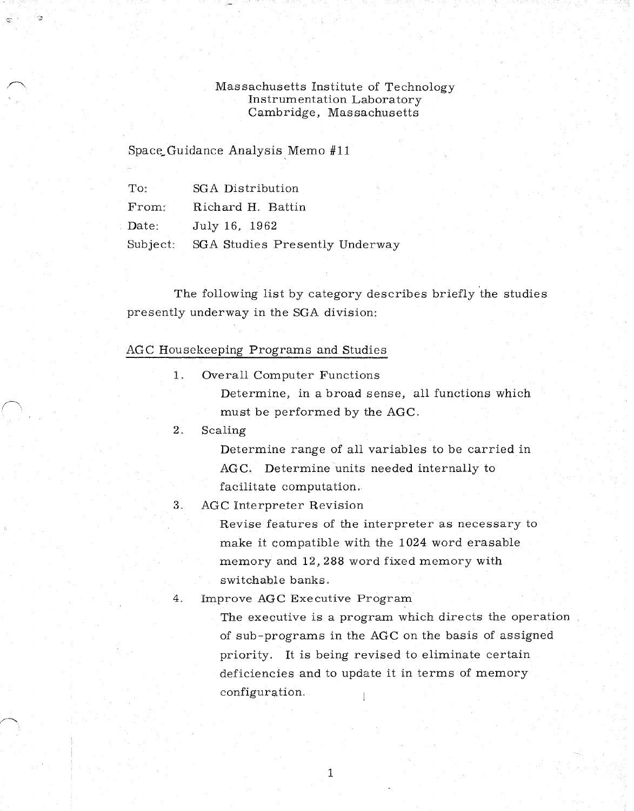#### Massachusetts Institute of Technology Instrumentation Laboratory Cambridge, Massachusetts

### Space Guidance Analysis Memo #11

| $\mathrm{To}$ :   | SGA Distribution               |
|-------------------|--------------------------------|
| From:             | Richard H. Battin              |
| $\textbf{Date}$ : | July 16, 1962                  |
| Subject:          | SGA Studies Presently Underway |

The following list by category describes briefly the studies presently underway in the SGA division:

#### AGC Housekeeping Programs and Studies

1. Overall Computer Functions Determine, in a broad sense, all functions which must be performed by the AGC.

2. Scaling

Determine range of all variables to be carried in AGC. Determine units needed internally to facilitate computation.

3. AGC Interpreter Revision

Revise features of the interpreter as necessary to make it compatible with the 1024 word erasable memory and 12,288 word fixed memory with switchable banks.

4. Improve AGC Executive Program

The executive is a program which directs the operation of sub-programs in the AGC on the basis of assigned priority. It is being revised to eliminate certain deficiencies and to update it in terms of memory configuration.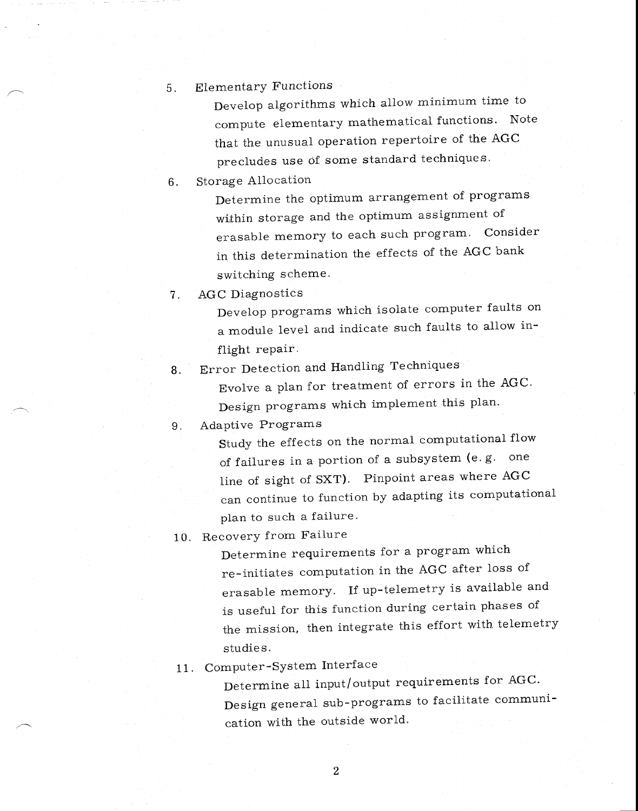5. Elementary Functions

Develop algorithms which allow minimum time to compute elementary mathematical functions. Note that the unusual operation repertoire of the AGC precludes use of some standard techniques.

6. Storage Allocation

Determine the optimum arrangement of programs within storage and the optimum assignment of erasable memory to each such program. Consider in this determination the effects of the AGC bank switching scheme.

7. AGC Diagnostics

Develop programs which isolate computer faults on a module level and indicate such faults to allow inflight repair.

8. Error Detection and Handling Techniques

Evolve a plan for treatment of errors in the AGC. Design programs which implement this plan.

9. Adaptive Programs

Study the effects on the normal computational flow of failures in a portion of a subsystem (e. g. one line of sight of SXT). Pinpoint areas where AGC can continue to function by adapting its computational plan to such a failure.

10. Recovery from Failure

Determine requirements for a program which re-initiates computation in the AGC after loss of erasable memory. If up-telemetry is available and is useful for this function during certain phases of the mission, then integrate this effort with telemetry studies.

11. Computer-System Interface

Determine all input/output requirements for AGC. Design general sub-programs to facilitate communication with the outside world.

 $\overline{2}$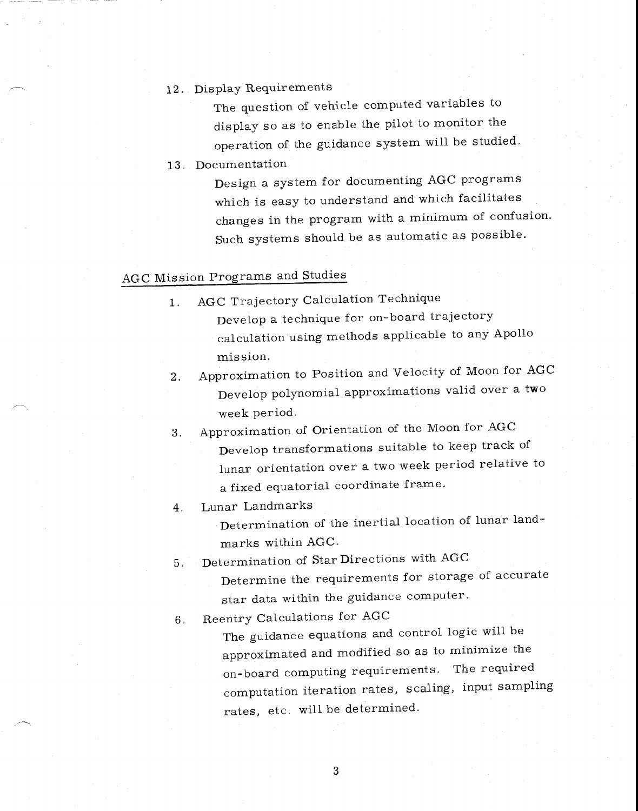## 12. Display Requirements

The question of vehicle computed variables to display so as to enable the pilot to monitor the operation of the guidance system will be studied.

13. Documentation

Design a system for documenting AGC programs which is easy to understand and which facilitates changes in the program with a minimum of confusion. Such systems should be as automatic as possible.

## AGC Mission Programs and Studies

- 1. AGC Trajectory Calculation Technique Develop a technique for on-board trajectory calculation using methods applicable to any Apollo mission.
- 2. Approximation to Position and Velocity of Moon for AGC Develop polynomial approximations valid over a two week period.
- 3. Approximation of Orientation of the Moon for AGC Develop transformations suitable to keep track of lunar orientation over a two week period relative to a fixed equatorial coordinate frame.
- 4. Lunar Landmarks

Determination of the inertial location of lunar landmarks within AGC.

- 5. Determination of Star Directions with AGC
	- Determine the requirements for storage of accurate star data within the guidance computer.

6. Reentry Calculations for AGC

The guidance equations and control logic will be approximated and modified so as to minimize the on-board computing requirements. The required computation iteration rates, scaling, input sampling rates, etc. will be determined.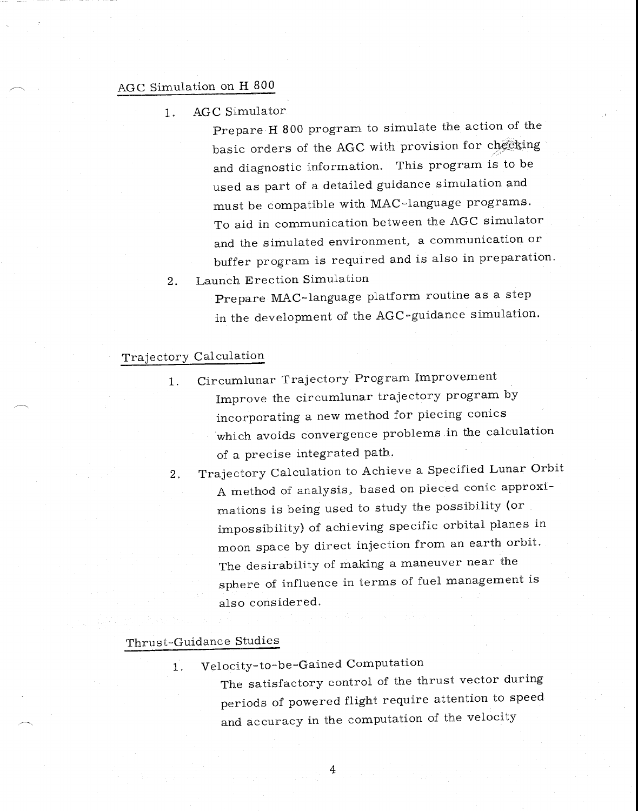#### AGC Simulation on H 800

1. AGC Simulator

Prepare H 800 program to simulate the action of the basic orders of the AGC with provision for checking and diagnostic information. This program is to be used as part of a detailed guidance simulation and must be compatible with MAC-language programs. To aid in communication between the AGC simulator and the simulated environment, a communication or buffer program is required and is also in preparation.

2. Launch Erection Simulation

Prepare MAC-language platform routine as a step in the development of the AGC-guidance simulation.

### Trajectory Calculation

- 1. Circumlunar Trajectory Program Improvement Improve the circumlunar trajectory program by incorporating a new method for piecing conics which avoids convergence problems in the calculation of a precise integrated path.
- 2. Trajectory Calculation to Achieve a Specified Lunar Orbit A method of analysis, based on pieced conic approximations is being used to study the possibility (or impossibility) of achieving specific orbital planes in moon space by direct injection from an earth orbit. The desirability of making a maneuver near the sphere of influence in terms of fuel management is also considered.

#### Thrust-Guidance Studies

1. Velocity-to-be-Gained Computation

 $\overline{4}$ 

The satisfactory control of the thrust vector during periods of powered flight require attention to speed and accuracy in the computation of the velocity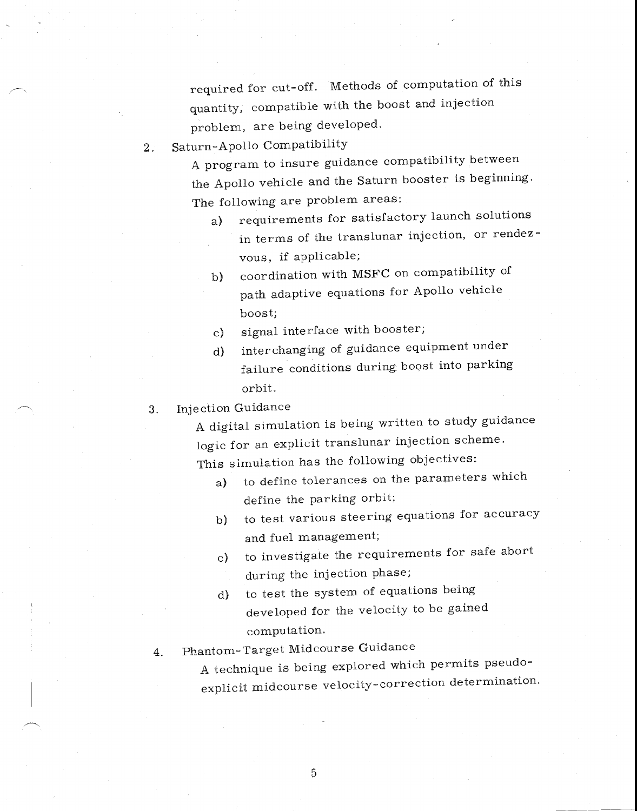required for cut-off. Methods of computation of this quantity, compatible with the boost and injection problem, are being developed.

2. Saturn-Apollo Compatibility

A program to insure guidance compatibility between the Apollo vehicle and the Saturn booster is beginning. The following are problem areas:

- a) requirements for satisfactory launch solutions in terms of the translunar injection, or rendezvous, if applicable;
- b) coordination with MSFC on compatibility of path adaptive equations for Apollo vehicle boost;
- c) signal interface with booster;
- d) interchanging of guidance equipment under failure conditions during boost into parking orbit.
- 3. Injection Guidance

A digital simulation is being written to study guidance logic for an explicit translunar injection scheme. This simulation has the following objectives:

- a) to define tolerances on the parameters which define the parking orbit;
- b) to test various steering equations for accuracy and fuel management;
- c) to investigate the requirements for safe abort during the injection phase;
- d) to test the system of equations being developed for the velocity to be gained computation.
- 4. Phantom-Target Midcourse Guidance

A technique is being explored which permits pseudoexplicit midcourse velocity-correction determination.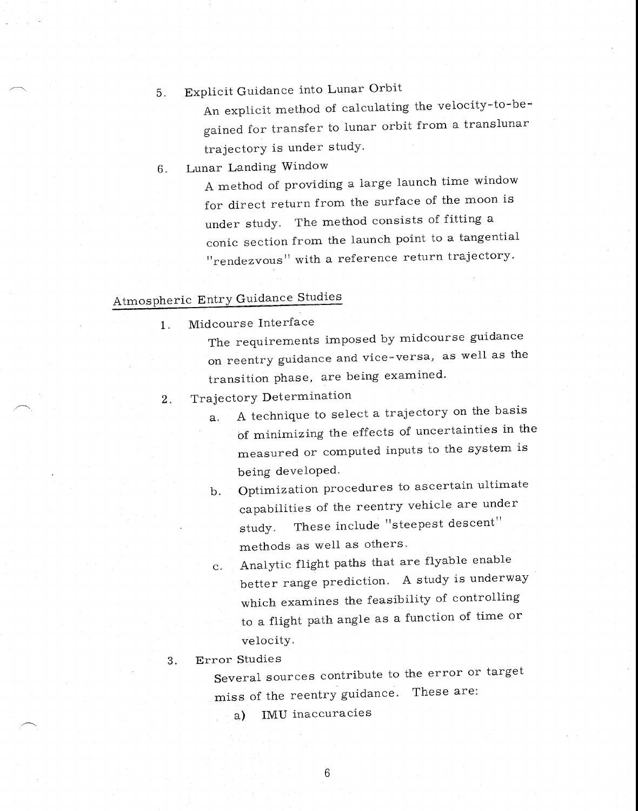# 5. Explicit Guidance into Lunar Orbit

An explicit method of calculating the velocity-to-begained for transfer to lunar orbit from a translunar trajectory is under study.

6. Lunar Landing Window

A method of providing a large launch time window for direct return from the surface of the moon is under study. The method consists of fitting a conic section from the launch point to a tangential "rendezvous" with a reference return trajectory.

## Atmospheric Entry Guidance Studies

- 1. Midcourse Interface
	- The requirements imposed by midcourse guidance on reentry guidance and vice-versa, as well as the transition phase, are being examined.
	- 2. Trajectory Determination
		- a. A technique to select a trajectory on the basis of minimizing the effects of uncertainties in the measured or computed inputs to the system is being developed.
		- b. Optimization procedures to ascertain ultimate capabilities of the reentry vehicle are under study. These include "steepest descent" methods as well as others.
		- c. Analytic flight paths that are flyable enable better range prediction. A study is underway which examines the feasibility of controlling to a flight path angle as a function of time or velocity.
	- 3. Error Studies

Several sources contribute to the error or target miss of the reentry guidance. These are:

a) IMU inaccuracies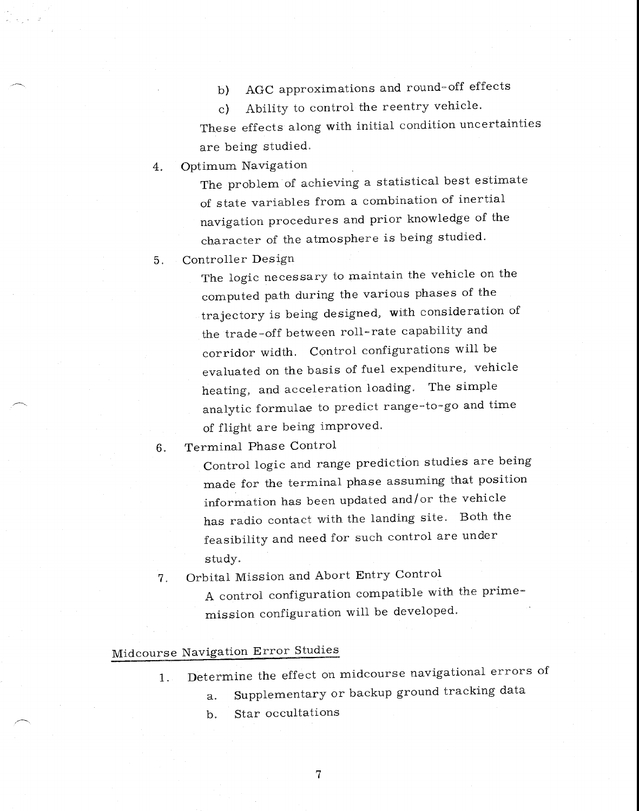b) AGC approximations and round-off effects

c) Ability to control the reentry vehicle. These effects along with initial condition uncertainties are being studied.

4. Optimum Navigation

The problem of achieving a statistical best estimate of state variables from a combination of inertial navigation procedures and prior knowledge of the character of the atmosphere is being studied.

5. Controller Design

The logic necessary to maintain the vehicle on the computed path during the various phases of the trajectory is being designed, with consideration of the trade-off between roll-rate capability and corridor width. Control configurations will be evaluated on the basis of fuel expenditure, vehicle heating, and acceleration loading. The simple analytic formulae to predict range-to-go and time of flight are being improved.

6. Terminal Phase Control

Control logic and range prediction studies are being made for the terminal phase assuming that position information has been updated and/or the vehicle has radio contact with the landing site. Both the feasibility and need for such control are under study.

7. Orbital Mission and Abort Entry Control A control configuration compatible with the primemission configuration will be developed.

## Midcourse Navigation Error Studies

- 1. Determine the effect on midcourse navigational errors of
	- a. Supplementary or backup ground tracking data
	- b. Star occultations

7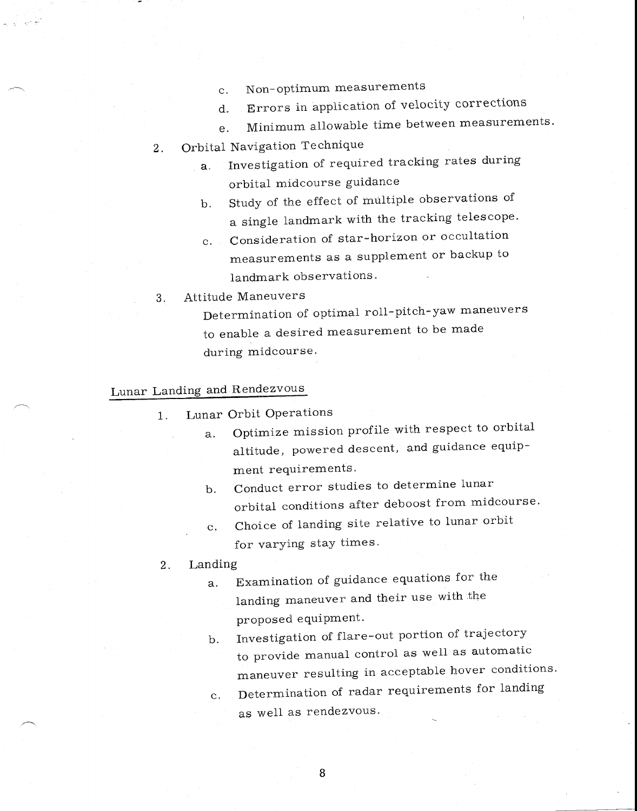- c. Non-optimum measurements
- d. Errors in application of velocity corrections
- e. Minimum allowable time between measurements.

2. Orbital Navigation Technique

- a. Investigation of required tracking rates during orbital midcourse guidance
- b. Study of the effect of multiple observations of a single landmark with the tracking telescope.
- c. Consideration of star-horizon or occultation measurements as a supplement or backup to landmark observations.
- 3. Attitude Maneuvers

Determination of optimal roll-pitch-yaw maneuvers to enable a desired measurement to be made during midcourse.

# Lunar Landing and Rendezvous

- 1. Lunar Orbit Operations
	- a. Optimize mission profile with respect to orbital altitude, powered descent, and guidance equipment requirements.
	- b. Conduct error studies to determine lunar orbital conditions after deboost from midcourse.
	- c. Choice of landing site relative to lunar orbit for varying stay times.
- 2. Landing
	- a. Examination of guidance equations for the landing maneuver and their use with the proposed equipment.
	- b. Investigation of flare-out portion of trajectory to provide manual control as well as automatic maneuver resulting in acceptable hover conditions.
	- c. Determination of radar requirements for landing as well as rendezvous.